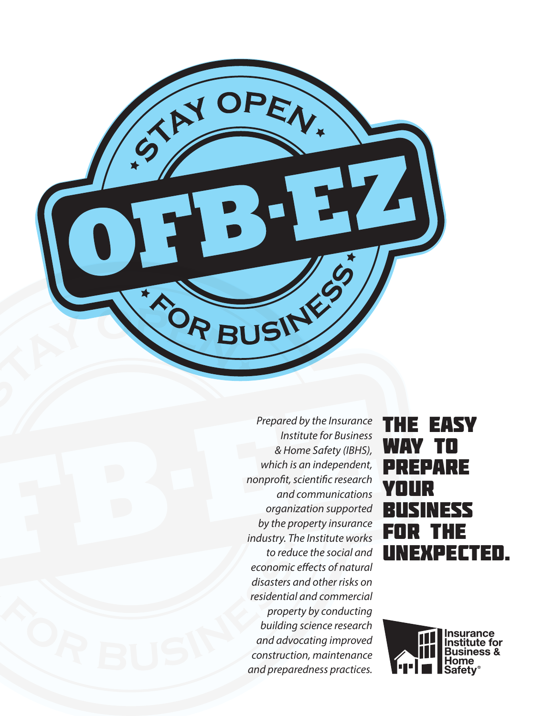

*Prepared by the Insurance Institute for Business & Home Safety (IBHS), which is an independent, nonprofit, scientific research and communications organization supported by the property insurance industry. The Institute works to reduce the social and economic effects of natural disasters and other risks on residential and commercial property by conducting building science research and advocating improved construction, maintenance and preparedness practices.*

# The easy way to prepare your business for the unexpected.

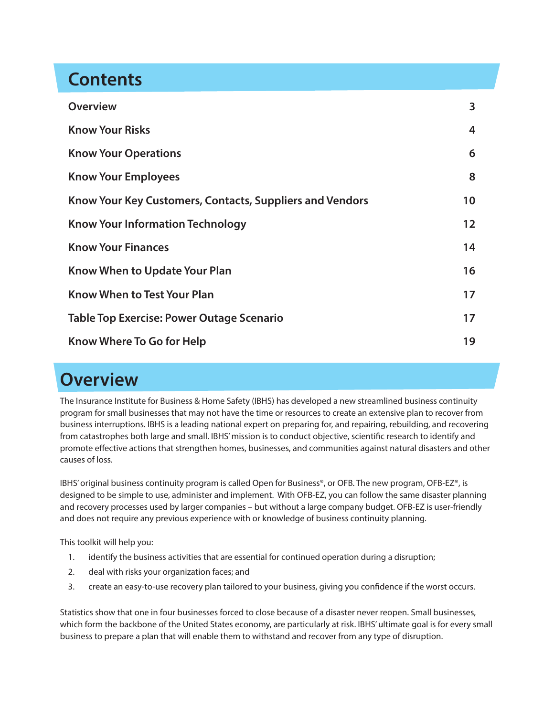# **Contents**

| <b>Overview</b>                                          | 3  |
|----------------------------------------------------------|----|
| <b>Know Your Risks</b>                                   | 4  |
| <b>Know Your Operations</b>                              | 6  |
| <b>Know Your Employees</b>                               | 8  |
| Know Your Key Customers, Contacts, Suppliers and Vendors | 10 |
| <b>Know Your Information Technology</b>                  | 12 |
| <b>Know Your Finances</b>                                | 14 |
| <b>Know When to Update Your Plan</b>                     | 16 |
| <b>Know When to Test Your Plan</b>                       | 17 |
| <b>Table Top Exercise: Power Outage Scenario</b>         | 17 |
| Know Where To Go for Help                                | 19 |

# **Overview**

The Insurance Institute for Business & Home Safety (IBHS) has developed a new streamlined business continuity program for small businesses that may not have the time or resources to create an extensive plan to recover from business interruptions. IBHS is a leading national expert on preparing for, and repairing, rebuilding, and recovering from catastrophes both large and small. IBHS' mission is to conduct objective, scientific research to identify and promote effective actions that strengthen homes, businesses, and communities against natural disasters and other causes of loss.

IBHS' original business continuity program is called Open for Business®, or OFB. The new program, OFB-EZ®, is designed to be simple to use, administer and implement. With OFB-EZ, you can follow the same disaster planning and recovery processes used by larger companies – but without a large company budget. OFB-EZ is user-friendly and does not require any previous experience with or knowledge of business continuity planning.

This toolkit will help you:

- 1. identify the business activities that are essential for continued operation during a disruption;
- 2. deal with risks your organization faces; and
- 3. create an easy-to-use recovery plan tailored to your business, giving you confidence if the worst occurs.

Statistics show that one in four businesses forced to close because of a disaster never reopen. Small businesses, which form the backbone of the United States economy, are particularly at risk. IBHS' ultimate goal is for every small business to prepare a plan that will enable them to withstand and recover from any type of disruption.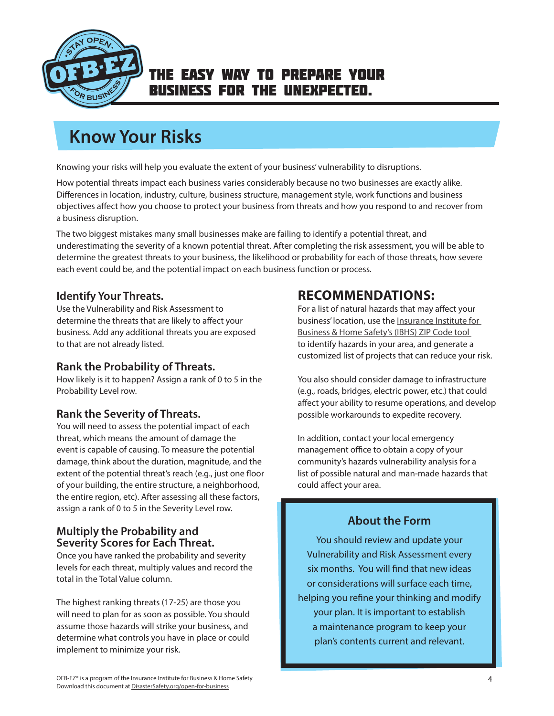<span id="page-3-0"></span>

# **Know Your Risks**

Knowing your risks will help you evaluate the extent of your business' vulnerability to disruptions.

How potential threats impact each business varies considerably because no two businesses are exactly alike. Differences in location, industry, culture, business structure, management style, work functions and business objectives affect how you choose to protect your business from threats and how you respond to and recover from a business disruption.

The two biggest mistakes many small businesses make are failing to identify a potential threat, and underestimating the severity of a known potential threat. After completing the risk assessment, you will be able to determine the greatest threats to your business, the likelihood or probability for each of those threats, how severe each event could be, and the potential impact on each business function or process.

### **Identify Your Threats.**

Use the Vulnerability and Risk Assessment to determine the threats that are likely to affect your business. Add any additional threats you are exposed to that are not already listed.

### **Rank the Probability of Threats.**

How likely is it to happen? Assign a rank of 0 to 5 in the Probability Level row.

### **Rank the Severity of Threats.**

You will need to assess the potential impact of each threat, which means the amount of damage the event is capable of causing. To measure the potential damage, think about the duration, magnitude, and the extent of the potential threat's reach (e.g., just one floor of your building, the entire structure, a neighborhood, the entire region, etc). After assessing all these factors, assign a rank of 0 to 5 in the Severity Level row.

### **Multiply the Probability and Severity Scores for Each Threat.**

Once you have ranked the probability and severity levels for each threat, multiply values and record the total in the Total Value column.

The highest ranking threats (17-25) are those you will need to plan for as soon as possible. You should assume those hazards will strike your business, and determine what controls you have in place or could implement to minimize your risk.

## **RECOMMENDATIONS:**

For a list of natural hazards that may affect your business' location, use the [Insurance Institute for](http://www.disastersafety.org/zip-code-risk-search-results/?q=11111&search=Search)  [Business & Home Safety's \(IBHS\) ZIP Code tool](http://www.disastersafety.org/zip-code-risk-search-results/?q=11111&search=Search)  to identify hazards in your area, and generate a customized list of projects that can reduce your risk.

You also should consider damage to infrastructure (e.g., roads, bridges, electric power, etc.) that could affect your ability to resume operations, and develop possible workarounds to expedite recovery.

In addition, contact your local emergency management office to obtain a copy of your community's hazards vulnerability analysis for a list of possible natural and man-made hazards that could affect your area.

### **About the Form**

You should review and update your Vulnerability and Risk Assessment every six months. You will find that new ideas or considerations will surface each time, helping you refine your thinking and modify your plan. It is important to establish a maintenance program to keep your plan's contents current and relevant.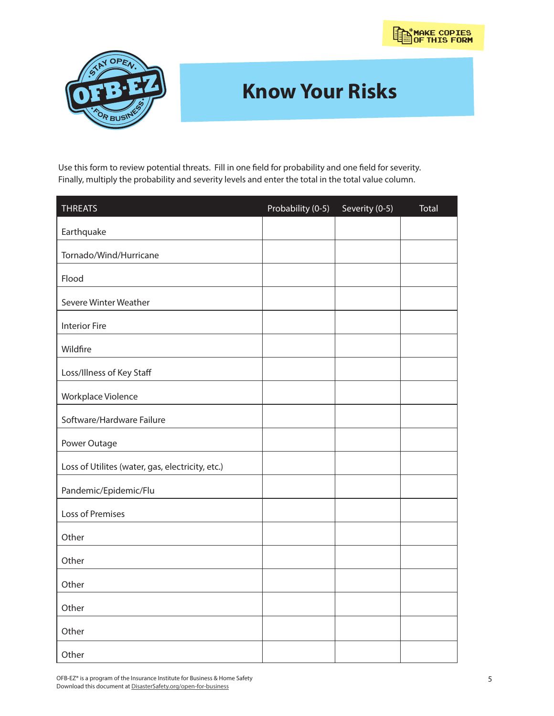

# **Know Your Risks**

Use this form to review potential threats. Fill in one field for probability and one field for severity. Finally, multiply the probability and severity levels and enter the total in the total value column.

| <b>THREATS</b>                                   | Probability (0-5) | Severity (0-5) | <b>Total</b> |
|--------------------------------------------------|-------------------|----------------|--------------|
| Earthquake                                       |                   |                |              |
| Tornado/Wind/Hurricane                           |                   |                |              |
| Flood                                            |                   |                |              |
| Severe Winter Weather                            |                   |                |              |
| <b>Interior Fire</b>                             |                   |                |              |
| Wildfire                                         |                   |                |              |
| Loss/Illness of Key Staff                        |                   |                |              |
| Workplace Violence                               |                   |                |              |
| Software/Hardware Failure                        |                   |                |              |
| Power Outage                                     |                   |                |              |
| Loss of Utilites (water, gas, electricity, etc.) |                   |                |              |
| Pandemic/Epidemic/Flu                            |                   |                |              |
| Loss of Premises                                 |                   |                |              |
| Other                                            |                   |                |              |
| Other                                            |                   |                |              |
| Other                                            |                   |                |              |
| Other                                            |                   |                |              |
| Other                                            |                   |                |              |
| Other                                            |                   |                |              |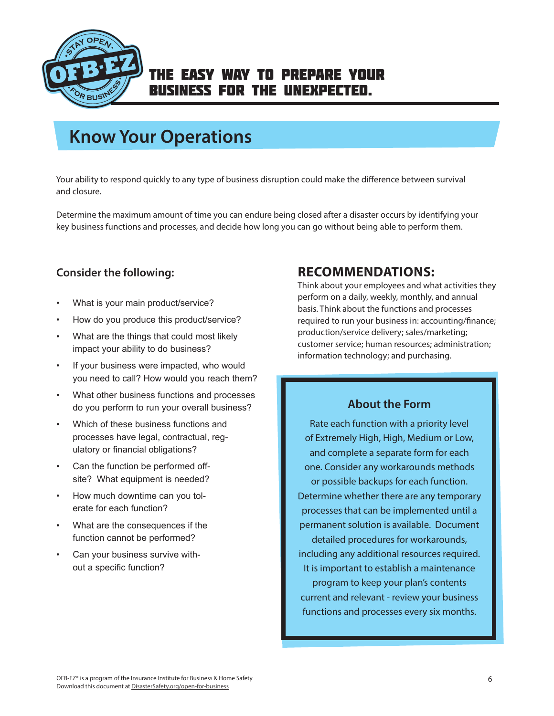<span id="page-5-0"></span>

# **Know Your Operations**

Your ability to respond quickly to any type of business disruption could make the difference between survival and closure.

Determine the maximum amount of time you can endure being closed after a disaster occurs by identifying your key business functions and processes, and decide how long you can go without being able to perform them.

### **Consider the following:**

- What is your main product/service?
- How do you produce this product/service?
- What are the things that could most likely impact your ability to do business?
- If your business were impacted, who would you need to call? How would you reach them?
- What other business functions and processes do you perform to run your overall business?
- Which of these business functions and processes have legal, contractual, regulatory or financial obligations?
- Can the function be performed offsite? What equipment is needed?
- How much downtime can you tolerate for each function?
- What are the consequences if the function cannot be performed?
- Can your business survive without a specific function?

## **RECOMMENDATIONS:**

Think about your employees and what activities they perform on a daily, weekly, monthly, and annual basis. Think about the functions and processes required to run your business in: accounting/finance; production/service delivery; sales/marketing; customer service; human resources; administration; information technology; and purchasing.

### **About the Form**

Rate each function with a priority level of Extremely High, High, Medium or Low, and complete a separate form for each one. Consider any workarounds methods or possible backups for each function. Determine whether there are any temporary processes that can be implemented until a permanent solution is available. Document detailed procedures for workarounds, including any additional resources required. It is important to establish a maintenance program to keep your plan's contents current and relevant - review your business functions and processes every six months.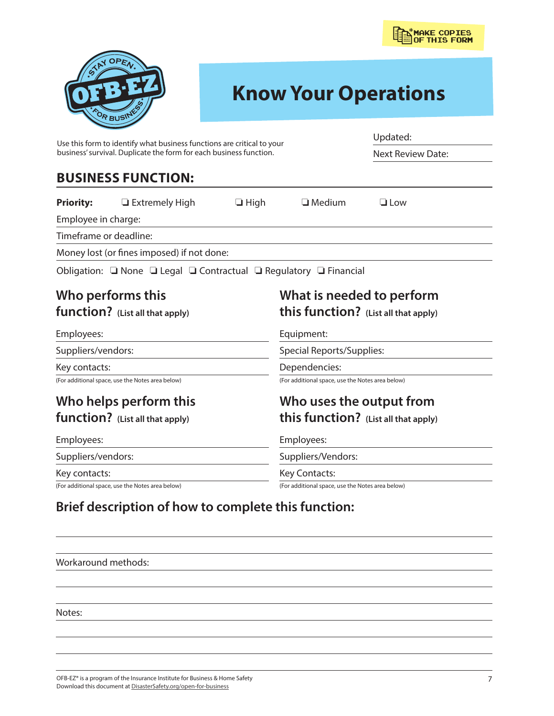

# **Know Your Operations**

| Use this form to identify what business functions are critical to your<br>business' survival. Duplicate the form for each business function. |                                                                   |             | Updated:<br><b>Next Review Date:</b>             |                                      |
|----------------------------------------------------------------------------------------------------------------------------------------------|-------------------------------------------------------------------|-------------|--------------------------------------------------|--------------------------------------|
|                                                                                                                                              |                                                                   |             |                                                  |                                      |
| <b>Priority:</b>                                                                                                                             | □ Extremely High                                                  | $\Box$ High | $\Box$ Medium                                    | $\Box$ Low                           |
| Employee in charge:                                                                                                                          |                                                                   |             |                                                  |                                      |
| Timeframe or deadline:                                                                                                                       |                                                                   |             |                                                  |                                      |
|                                                                                                                                              | Money lost (or fines imposed) if not done:                        |             |                                                  |                                      |
|                                                                                                                                              | Obligation: ■ None ■ Legal ■ Contractual ■ Regulatory ■ Financial |             |                                                  |                                      |
|                                                                                                                                              | Who performs this                                                 |             |                                                  | What is needed to perform            |
|                                                                                                                                              | function? (List all that apply)                                   |             |                                                  | this function? (List all that apply) |
| Employees:                                                                                                                                   |                                                                   |             | Equipment:                                       |                                      |
| Suppliers/vendors:                                                                                                                           |                                                                   |             | <b>Special Reports/Supplies:</b>                 |                                      |
| Key contacts:                                                                                                                                |                                                                   |             | Dependencies:                                    |                                      |
|                                                                                                                                              | (For additional space, use the Notes area below)                  |             | (For additional space, use the Notes area below) |                                      |
|                                                                                                                                              | Who helps perform this                                            |             |                                                  | Who uses the output from             |
|                                                                                                                                              | function? (List all that apply)                                   |             |                                                  | this function? (List all that apply) |
| Employees:                                                                                                                                   |                                                                   |             | Employees:                                       |                                      |
| Suppliers/vendors:                                                                                                                           |                                                                   |             | Suppliers/Vendors:                               |                                      |
| Key contacts:                                                                                                                                |                                                                   |             | Key Contacts:                                    |                                      |
|                                                                                                                                              | (For additional space, use the Notes area below)                  |             | (For additional space, use the Notes area below) |                                      |

# **Brief description of how to complete this function:**

Workaround methods:

Notes:

OFB-EZ® is a program of the Insurance Institute for Business & Home Safety Download this document at [DisasterSafety.org/open-for-business](https://www.disastersafety.org/open-for-business/)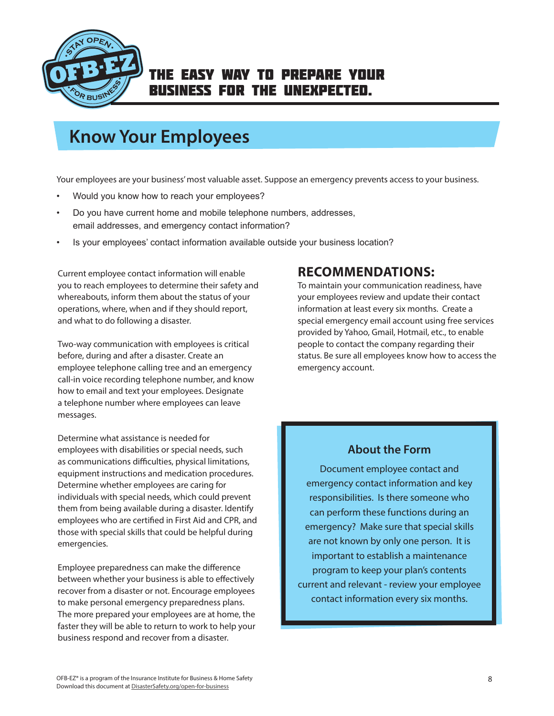<span id="page-7-0"></span>

# **Know Your Employees**

Your employees are your business' most valuable asset. Suppose an emergency prevents access to your business.

- Would you know how to reach your employees?
- Do you have current home and mobile telephone numbers, addresses, email addresses, and emergency contact information?
- Is your employees' contact information available outside your business location?

Current employee contact information will enable you to reach employees to determine their safety and whereabouts, inform them about the status of your operations, where, when and if they should report, and what to do following a disaster.

Two-way communication with employees is critical before, during and after a disaster. Create an employee telephone calling tree and an emergency call-in voice recording telephone number, and know how to email and text your employees. Designate a telephone number where employees can leave messages.

Determine what assistance is needed for employees with disabilities or special needs, such as communications difficulties, physical limitations, equipment instructions and medication procedures. Determine whether employees are caring for individuals with special needs, which could prevent them from being available during a disaster. Identify employees who are certified in First Aid and CPR, and those with special skills that could be helpful during emergencies.

Employee preparedness can make the difference between whether your business is able to effectively recover from a disaster or not. Encourage employees to make personal emergency preparedness plans. The more prepared your employees are at home, the faster they will be able to return to work to help your business respond and recover from a disaster.

## **RECOMMENDATIONS:**

To maintain your communication readiness, have your employees review and update their contact information at least every six months. Create a special emergency email account using free services provided by Yahoo, Gmail, Hotmail, etc., to enable people to contact the company regarding their status. Be sure all employees know how to access the emergency account.

### **About the Form**

Document employee contact and emergency contact information and key responsibilities. Is there someone who can perform these functions during an emergency? Make sure that special skills are not known by only one person. It is important to establish a maintenance program to keep your plan's contents current and relevant - review your employee contact information every six months.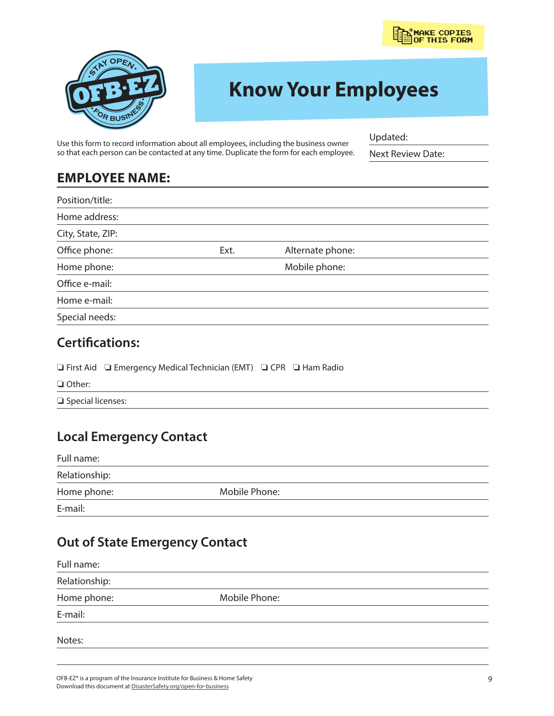

# **Know Your Employees**

Use this form to record information about all employees, including the business owner so that each person can be contacted at any time. Duplicate the form for each employee. Updated:

Next Review Date:

## **EMPLOYEE NAME:**

| Position/title:   |      |                  |  |
|-------------------|------|------------------|--|
| Home address:     |      |                  |  |
| City, State, ZIP: |      |                  |  |
| Office phone:     | Ext. | Alternate phone: |  |
| Home phone:       |      | Mobile phone:    |  |
| Office e-mail:    |      |                  |  |
| Home e-mail:      |      |                  |  |
| Special needs:    |      |                  |  |

## **Certifications:**

|                                           | $\Box$ First Aid $\Box$ Emergency Medical Technician (EMT) $\Box$ CPR $\Box$ Ham Radio |  |  |
|-------------------------------------------|----------------------------------------------------------------------------------------|--|--|
| $\Box$ Other:<br>$\Box$ Special licenses: |                                                                                        |  |  |

# **Local Emergency Contact**

| Full name:    |               |  |
|---------------|---------------|--|
| Relationship: |               |  |
| Home phone:   | Mobile Phone: |  |
| E-mail:       |               |  |

# **Out of State Emergency Contact**

| Full name:    |               |  |
|---------------|---------------|--|
| Relationship: |               |  |
| Home phone:   | Mobile Phone: |  |
| E-mail:       |               |  |
| Notes:        |               |  |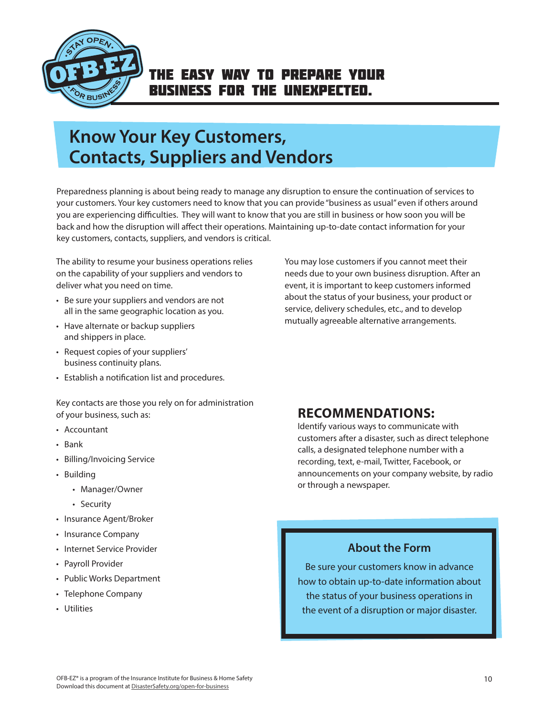<span id="page-9-0"></span>

# **Know Your Key Customers, Contacts, Suppliers and Vendors**

Preparedness planning is about being ready to manage any disruption to ensure the continuation of services to your customers. Your key customers need to know that you can provide "business as usual" even if others around you are experiencing difficulties. They will want to know that you are still in business or how soon you will be back and how the disruption will affect their operations. Maintaining up-to-date contact information for your key customers, contacts, suppliers, and vendors is critical.

The ability to resume your business operations relies on the capability of your suppliers and vendors to deliver what you need on time.

- Be sure your suppliers and vendors are not all in the same geographic location as you.
- Have alternate or backup suppliers and shippers in place.
- Request copies of your suppliers' business continuity plans.
- Establish a notification list and procedures.

Key contacts are those you rely on for administration of your business, such as:

- Accountant
- Bank
- Billing/Invoicing Service
- Building
	- Manager/Owner
	- Security
- Insurance Agent/Broker
- Insurance Company
- Internet Service Provider
- Payroll Provider
- Public Works Department
- Telephone Company
- Utilities

You may lose customers if you cannot meet their needs due to your own business disruption. After an event, it is important to keep customers informed about the status of your business, your product or service, delivery schedules, etc., and to develop mutually agreeable alternative arrangements.

## **RECOMMENDATIONS:**

Identify various ways to communicate with customers after a disaster, such as direct telephone calls, a designated telephone number with a recording, text, e-mail, Twitter, Facebook, or announcements on your company website, by radio or through a newspaper.

### **About the Form**

Be sure your customers know in advance how to obtain up-to-date information about the status of your business operations in the event of a disruption or major disaster.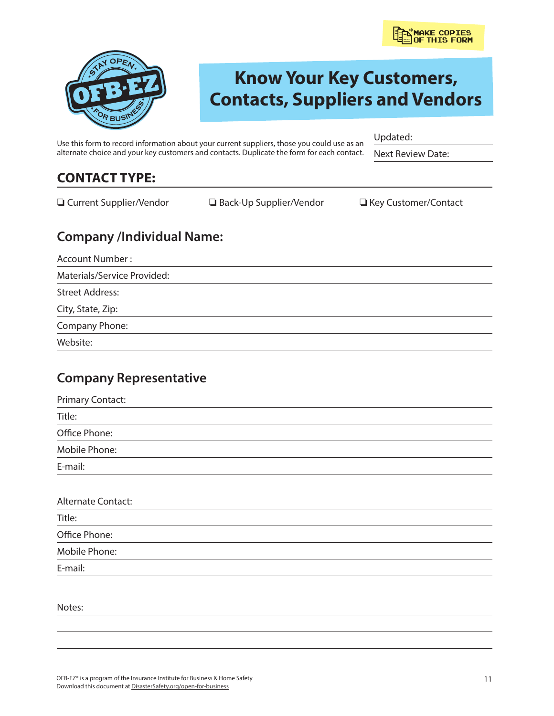

# **Know Your Key Customers, Contacts, Suppliers and Vendors**

Use this form to record information about your current suppliers, those you could use as an alternate choice and your key customers and contacts. Duplicate the form for each contact.

Updated:

Next Review Date:

# **CONTACT TYPE:**

❏ Current Supplier/Vendor ❏ Back-Up Supplier/Vendor ❏ Key Customer/Contact

## **Company /Individual Name:**

Account Number :

Materials/Service Provided:

Street Address:

City, State, Zip:

Company Phone:

Website:

## **Company Representative**

| <b>Primary Contact:</b> |  |  |
|-------------------------|--|--|
| Title:                  |  |  |
| Office Phone:           |  |  |
| Mobile Phone:           |  |  |
| E-mail:                 |  |  |
|                         |  |  |

| <b>Alternate Contact:</b> |  |  |
|---------------------------|--|--|
| Title:                    |  |  |
| Office Phone:             |  |  |
| Mobile Phone:             |  |  |
| E-mail:                   |  |  |

Notes: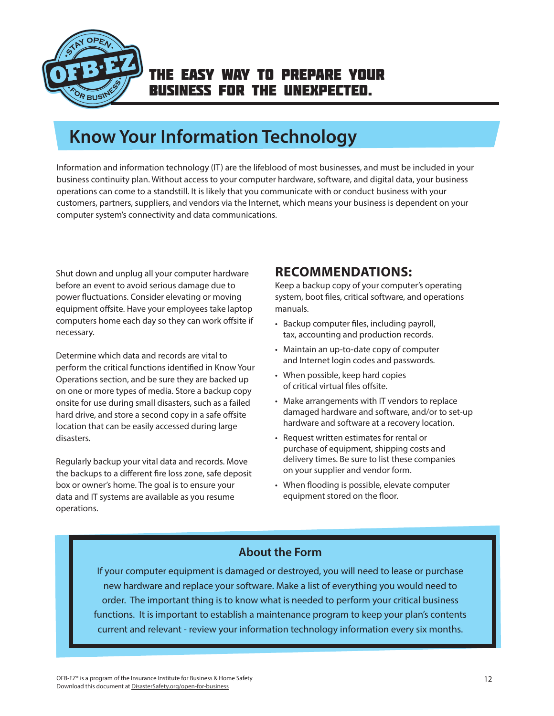<span id="page-11-0"></span>

# **Know Your Information Technology**

Information and information technology (IT) are the lifeblood of most businesses, and must be included in your business continuity plan. Without access to your computer hardware, software, and digital data, your business operations can come to a standstill. It is likely that you communicate with or conduct business with your customers, partners, suppliers, and vendors via the Internet, which means your business is dependent on your computer system's connectivity and data communications.

Shut down and unplug all your computer hardware before an event to avoid serious damage due to power fluctuations. Consider elevating or moving equipment offsite. Have your employees take laptop computers home each day so they can work offsite if necessary.

Determine which data and records are vital to perform the critical functions identified in Know Your Operations section, and be sure they are backed up on one or more types of media. Store a backup copy onsite for use during small disasters, such as a failed hard drive, and store a second copy in a safe offsite location that can be easily accessed during large disasters.

Regularly backup your vital data and records. Move the backups to a different fire loss zone, safe deposit box or owner's home. The goal is to ensure your data and IT systems are available as you resume operations.

## **RECOMMENDATIONS:**

Keep a backup copy of your computer's operating system, boot files, critical software, and operations manuals.

- Backup computer files, including payroll, tax, accounting and production records.
- Maintain an up-to-date copy of computer and Internet login codes and passwords.
- When possible, keep hard copies of critical virtual files offsite.
- Make arrangements with IT vendors to replace damaged hardware and software, and/or to set-up hardware and software at a recovery location.
- Request written estimates for rental or purchase of equipment, shipping costs and delivery times. Be sure to list these companies on your supplier and vendor form.
- When flooding is possible, elevate computer equipment stored on the floor.

## **About the Form**

If your computer equipment is damaged or destroyed, you will need to lease or purchase new hardware and replace your software. Make a list of everything you would need to order. The important thing is to know what is needed to perform your critical business functions. It is important to establish a maintenance program to keep your plan's contents current and relevant - review your information technology information every six months.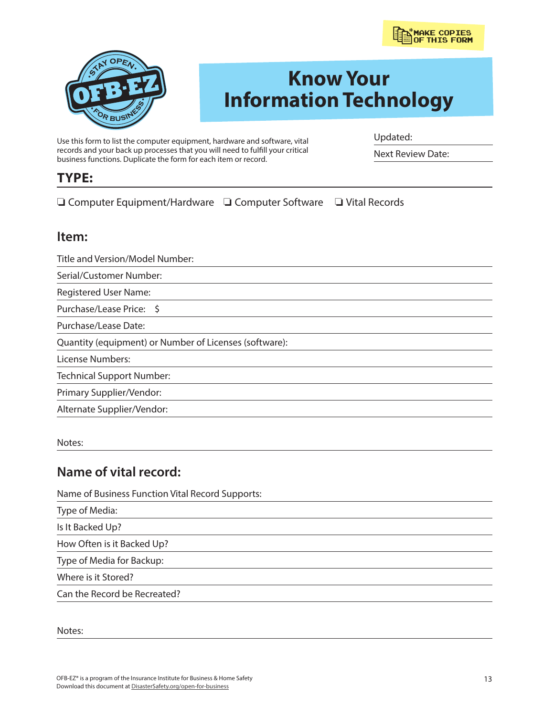

Updated:

Next Review Date:



# **Know Your Information Technology**

Use this form to list the computer equipment, hardware and software, vital records and your back up processes that you will need to fulfill your critical business functions. Duplicate the form for each item or record.

**TYPE:**

❏ Computer Equipment/Hardware ❏ Computer Software ❏ Vital Records

### **Item:**

Title and Version/Model Number:

Serial/Customer Number:

Registered User Name:

Purchase/Lease Price: \$

Purchase/Lease Date:

Quantity (equipment) or Number of Licenses (software):

License Numbers:

Technical Support Number:

Primary Supplier/Vendor:

Alternate Supplier/Vendor:

Notes:

## **Name of vital record:**

Name of Business Function Vital Record Supports:

Type of Media:

Is It Backed Up?

How Often is it Backed Up?

Type of Media for Backup:

Where is it Stored?

Can the Record be Recreated?

Notes: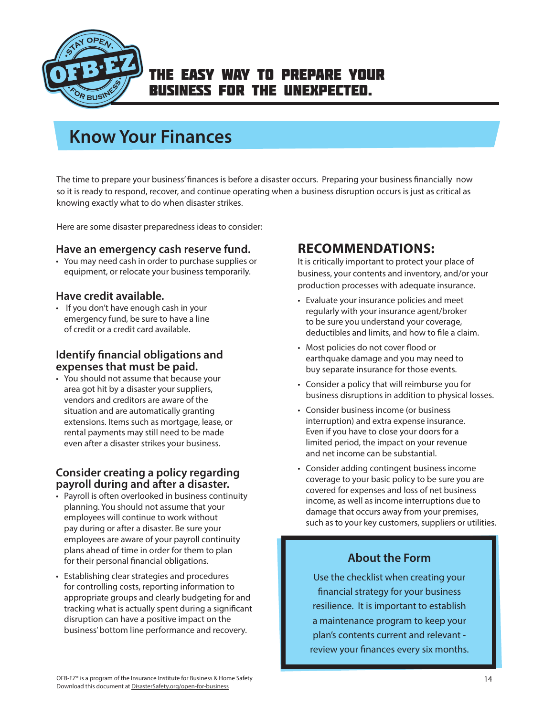<span id="page-13-0"></span>

# **Know Your Finances**

The time to prepare your business' finances is before a disaster occurs. Preparing your business financially now so it is ready to respond, recover, and continue operating when a business disruption occurs is just as critical as knowing exactly what to do when disaster strikes.

Here are some disaster preparedness ideas to consider:

#### **Have an emergency cash reserve fund.**

• You may need cash in order to purchase supplies or equipment, or relocate your business temporarily.

#### **Have credit available.**

• If you don't have enough cash in your emergency fund, be sure to have a line of credit or a credit card available.

### **Identify financial obligations and expenses that must be paid.**

• You should not assume that because your area got hit by a disaster your suppliers, vendors and creditors are aware of the situation and are automatically granting extensions. Items such as mortgage, lease, or rental payments may still need to be made even after a disaster strikes your business.

### **Consider creating a policy regarding payroll during and after a disaster.**

- Payroll is often overlooked in business continuity planning. You should not assume that your employees will continue to work without pay during or after a disaster. Be sure your employees are aware of your payroll continuity plans ahead of time in order for them to plan for their personal financial obligations.
- Establishing clear strategies and procedures for controlling costs, reporting information to appropriate groups and clearly budgeting for and tracking what is actually spent during a significant disruption can have a positive impact on the business' bottom line performance and recovery.

## **RECOMMENDATIONS:**

It is critically important to protect your place of business, your contents and inventory, and/or your production processes with adequate insurance.

- Evaluate your insurance policies and meet regularly with your insurance agent/broker to be sure you understand your coverage, deductibles and limits, and how to file a claim.
- Most policies do not cover flood or earthquake damage and you may need to buy separate insurance for those events.
- Consider a policy that will reimburse you for business disruptions in addition to physical losses.
- Consider business income (or business interruption) and extra expense insurance. Even if you have to close your doors for a limited period, the impact on your revenue and net income can be substantial.
- Consider adding contingent business income coverage to your basic policy to be sure you are covered for expenses and loss of net business income, as well as income interruptions due to damage that occurs away from your premises, such as to your key customers, suppliers or utilities.

### **About the Form**

Use the checklist when creating your financial strategy for your business resilience. It is important to establish a maintenance program to keep your plan's contents current and relevant review your finances every six months.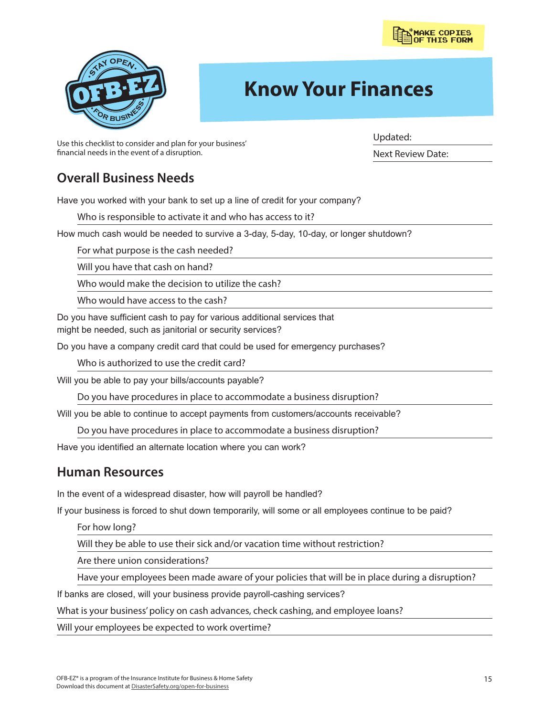



# **Know Your Finances**

Use this checklist to consider and plan for your business' financial needs in the event of a disruption.

Updated:

Next Review Date:

## **Overall Business Needs**

Have you worked with your bank to set up a line of credit for your company?

Who is responsible to activate it and who has access to it?

How much cash would be needed to survive a 3-day, 5-day, 10-day, or longer shutdown?

For what purpose is the cash needed?

Will you have that cash on hand?

Who would make the decision to utilize the cash?

Who would have access to the cash?

Do you have sufficient cash to pay for various additional services that might be needed, such as janitorial or security services?

Do you have a company credit card that could be used for emergency purchases?

Who is authorized to use the credit card?

Will you be able to pay your bills/accounts payable?

Do you have procedures in place to accommodate a business disruption?

Will you be able to continue to accept payments from customers/accounts receivable?

Do you have procedures in place to accommodate a business disruption?

Have you identified an alternate location where you can work?

## **Human Resources**

In the event of a widespread disaster, how will payroll be handled?

If your business is forced to shut down temporarily, will some or all employees continue to be paid?

For how long?

Will they be able to use their sick and/or vacation time without restriction?

Are there union considerations?

Have your employees been made aware of your policies that will be in place during a disruption?

If banks are closed, will your business provide payroll-cashing services?

What is your business' policy on cash advances, check cashing, and employee loans?

Will your employees be expected to work overtime?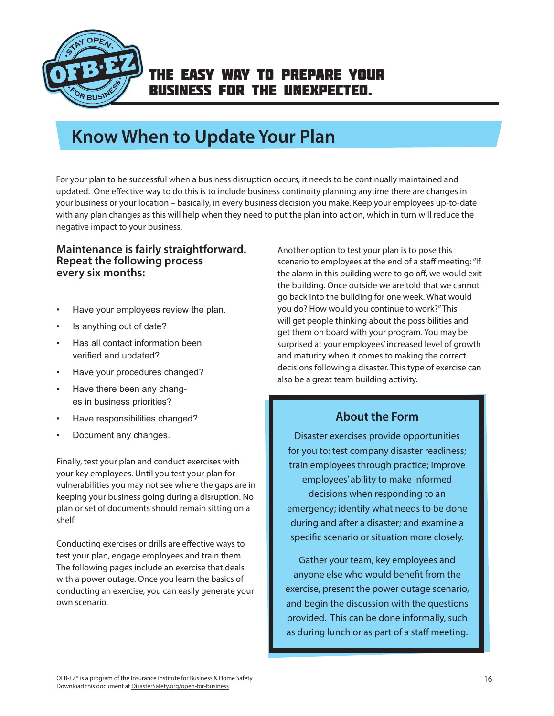<span id="page-15-0"></span>

# **Know When to Update Your Plan**

For your plan to be successful when a business disruption occurs, it needs to be continually maintained and updated. One effective way to do this is to include business continuity planning anytime there are changes in your business or your location – basically, in every business decision you make. Keep your employees up-to-date with any plan changes as this will help when they need to put the plan into action, which in turn will reduce the negative impact to your business.

#### **Maintenance is fairly straightforward. Repeat the following process every six months:**

- Have your employees review the plan.
- Is anything out of date?
- Has all contact information been verified and updated?
- Have your procedures changed?
- Have there been any changes in business priorities?
- Have responsibilities changed?
- Document any changes.

Finally, test your plan and conduct exercises with your key employees. Until you test your plan for vulnerabilities you may not see where the gaps are in keeping your business going during a disruption. No plan or set of documents should remain sitting on a shelf.

Conducting exercises or drills are effective ways to test your plan, engage employees and train them. The following pages include an exercise that deals with a power outage. Once you learn the basics of conducting an exercise, you can easily generate your own scenario.

Another option to test your plan is to pose this scenario to employees at the end of a staff meeting: "If the alarm in this building were to go off, we would exit the building. Once outside we are told that we cannot go back into the building for one week. What would you do? How would you continue to work?" This will get people thinking about the possibilities and get them on board with your program. You may be surprised at your employees' increased level of growth and maturity when it comes to making the correct decisions following a disaster. This type of exercise can also be a great team building activity.

### **About the Form**

Disaster exercises provide opportunities for you to: test company disaster readiness; train employees through practice; improve employees' ability to make informed decisions when responding to an emergency; identify what needs to be done during and after a disaster; and examine a specific scenario or situation more closely.

Gather your team, key employees and anyone else who would benefit from the exercise, present the power outage scenario, and begin the discussion with the questions provided. This can be done informally, such as during lunch or as part of a staff meeting.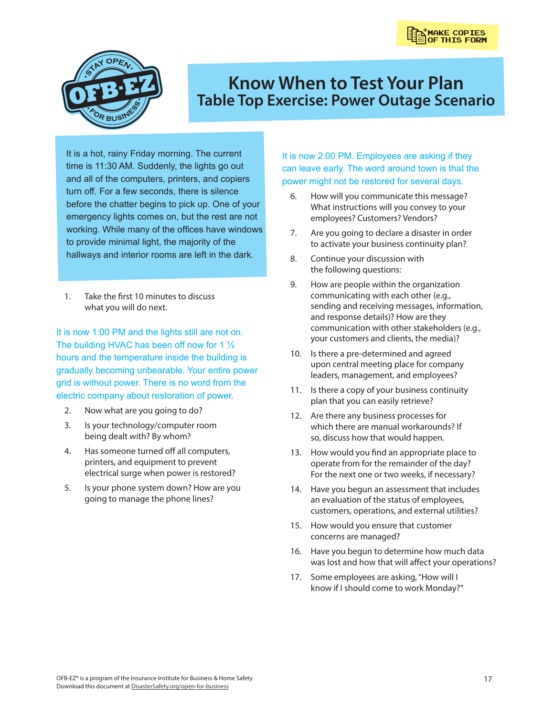<span id="page-16-0"></span>

# **Know When to Test Your Plan Table Top Exercise: Power Outage Scenario**

It is a hot, rainy Friday morning. The current time is 11:30 AM. Suddenly, the lights go out and all of the computers, printers, and copiers turn off. For a few seconds, there is silence before the chatter begins to pick up. One of your emergency lights comes on, but the rest are not working. While many of the offices have windows to provide minimal light, the majority of the hallways and interior rooms are left in the dark.

1. Take the first 10 minutes to discuss what you will do next.

It is now 1:00 PM and the lights still are not on. The building HVAC has been off now for 1 ½ hours and the temperature inside the building is gradually becoming unbearable. Your entire power grid is without power. There is no word from the electric company about restoration of power.

- 2. Now what are you going to do?
- 3. Is your technology/computer room being dealt with? By whom?
- 4. Has someone turned off all computers, printers, and equipment to prevent electrical surge when power is restored?
- 5. Is your phone system down? How are you going to manage the phone lines?

It is now 2:00 PM. Employees are asking if they can leave early. The word around town is that the power might not be restored for several days.

- 6. How will you communicate this message? What instructions will you convey to your employees? Customers? Vendors?
- 7. Are you going to declare a disaster in order to activate your business continuity plan?
- 8. Continue your discussion with the following questions:
- 9. How are people within the organization communicating with each other (e.g., sending and receiving messages, information, and response details)? How are they communication with other stakeholders (e.g., your customers and clients, the media)?
- 10. Is there a pre-determined and agreed upon central meeting place for company leaders, management, and employees?
- 11. Is there a copy of your business continuity plan that you can easily retrieve?
- 12. Are there any business processes for which there are manual workarounds? If so, discuss how that would happen.
- 13. How would you find an appropriate place to operate from for the remainder of the day? For the next one or two weeks, if necessary?
- 14. Have you begun an assessment that includes an evaluation of the status of employees, customers, operations, and external utilities?
- 15. How would you ensure that customer concerns are managed?
- 16. Have you begun to determine how much data was lost and how that will affect your operations?
- 17. Some employees are asking, "How will I know if I should come to work Monday?"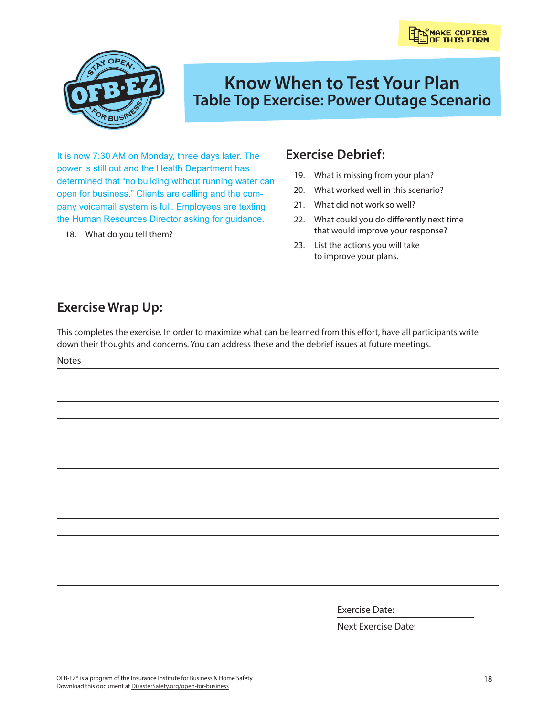

# **Know When to Test Your Plan Table Top Exercise: Power Outage Scenario**

It is now 7:30 AM on Monday, three days later. The power is still out and the Health Department has determined that "no building without running water can open for business." Clients are calling and the company voicemail system is full. Employees are texting the Human Resources Director asking for guidance.

18. What do you tell them?

## **Exercise Debrief:**

- 19. What is missing from your plan?
- 20. What worked well in this scenario?
- 21. What did not work so well?
- 22. What could you do differently next time that would improve your response?
- 23. List the actions you will take to improve your plans.

## **Exercise Wrap Up:**

This completes the exercise. In order to maximize what can be learned from this effort, have all participants write down their thoughts and concerns. You can address these and the debrief issues at future meetings.

Notes

Exercise Date:

Next Exercise Date: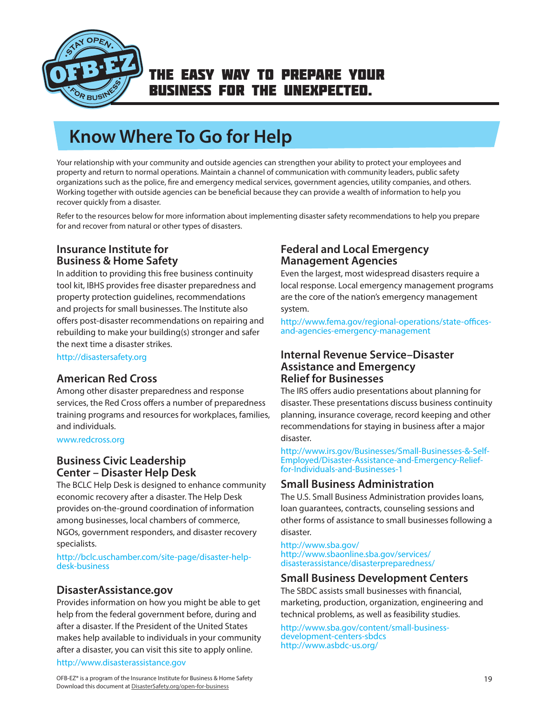<span id="page-18-0"></span>

# **Know Where To Go for Help**

Your relationship with your community and outside agencies can strengthen your ability to protect your employees and property and return to normal operations. Maintain a channel of communication with community leaders, public safety organizations such as the police, fire and emergency medical services, government agencies, utility companies, and others. Working together with outside agencies can be beneficial because they can provide a wealth of information to help you recover quickly from a disaster.

Refer to the resources below for more information about implementing disaster safety recommendations to help you prepare for and recover from natural or other types of disasters.

#### **Insurance Institute for Business & Home Safety**

In addition to providing this free business continuity tool kit, IBHS provides free disaster preparedness and property protection guidelines, recommendations and projects for small businesses. The Institute also offers post-disaster recommendations on repairing and rebuilding to make your building(s) stronger and safer the next time a disaster strikes.

http://disastersafety.org

#### **American Red Cross**

Among other disaster preparedness and response services, the Red Cross offers a number of preparedness training programs and resources for workplaces, families, and individuals.

www.redcross.org

#### **Business Civic Leadership Center – Disaster Help Desk**

The BCLC Help Desk is designed to enhance community economic recovery after a disaster. The Help Desk provides on-the-ground coordination of information among businesses, local chambers of commerce, NGOs, government responders, and disaster recovery specialists.

http://bclc.uschamber.com/site-page/disaster-helpdesk-business

#### **DisasterAssistance.gov**

Provides information on how you might be able to get help from the federal government before, during and after a disaster. If the President of the United States makes help available to individuals in your community after a disaster, you can visit this site to apply online.

#### http://www.disasterassistance.gov

### **Federal and Local Emergency Management Agencies**

Even the largest, most widespread disasters require a local response. Local emergency management programs are the core of the nation's emergency management system.

http://www.fema.gov/regional-operations/state-officesand-agencies-emergency-management

#### **Internal Revenue Service–Disaster Assistance and Emergency Relief for Businesses**

The IRS offers audio presentations about planning for disaster. These presentations discuss business continuity planning, insurance coverage, record keeping and other recommendations for staying in business after a major disaster.

http://www.irs.gov/Businesses/Small-Businesses-&-Self-Employed/Disaster-Assistance-and-Emergency-Relieffor-Individuals-and-Businesses-1

#### **Small Business Administration**

The U.S. Small Business Administration provides loans, loan guarantees, contracts, counseling sessions and other forms of assistance to small businesses following a disaster.

http://www.sba.gov/ http://www.sbaonline.sba.gov/services/ disasterassistance/disasterpreparedness/

#### **Small Business Development Centers**

The SBDC assists small businesses with financial, marketing, production, organization, engineering and technical problems, as well as feasibility studies.

http://www.sba.gov/content/small-businessdevelopment-centers-sbdcs http://www.asbdc-us.org/